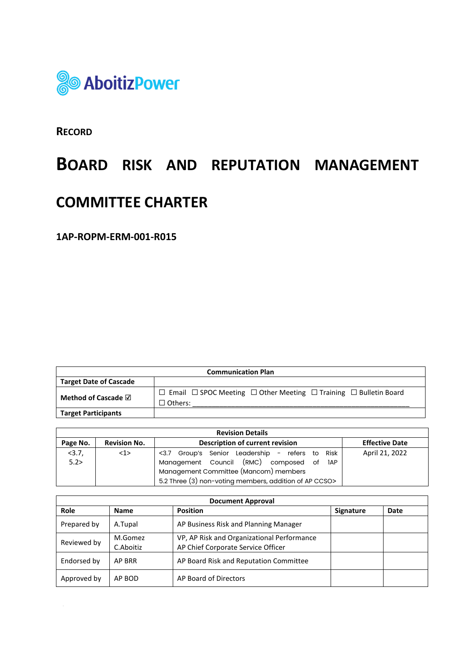

**RECORD**

# **BOARD RISK AND REPUTATION MANAGEMENT**

## **COMMITTEE CHARTER**

**1AP-ROPM-ERM-001-R015**

| <b>Communication Plan</b>     |                                                                                                               |  |  |  |
|-------------------------------|---------------------------------------------------------------------------------------------------------------|--|--|--|
| <b>Target Date of Cascade</b> |                                                                                                               |  |  |  |
| Method of Cascade $\boxdot$   | $\Box$ Email $\Box$ SPOC Meeting $\Box$ Other Meeting $\Box$ Training $\Box$ Bulletin Board<br>$\Box$ Others: |  |  |  |
| <b>Target Participants</b>    |                                                                                                               |  |  |  |

| <b>Revision Details</b> |                                                        |                                                          |                |  |  |
|-------------------------|--------------------------------------------------------|----------------------------------------------------------|----------------|--|--|
| Page No.                | <b>Revision No.</b>                                    | Description of current revision<br><b>Effective Date</b> |                |  |  |
| <3.7,                   | $1$                                                    | <3.7 Group's Senior Leadership - refers to<br>Risk       | April 21, 2022 |  |  |
| 5.2>                    |                                                        | Management Council (RMC) composed of<br>1AP              |                |  |  |
|                         |                                                        | Management Committee (Mancom) members                    |                |  |  |
|                         | 5.2 Three (3) non-voting members, addition of AP CCSO> |                                                          |                |  |  |

| <b>Document Approval</b> |                      |                                                                                  |           |      |
|--------------------------|----------------------|----------------------------------------------------------------------------------|-----------|------|
| Role                     | <b>Name</b>          | <b>Position</b>                                                                  | Signature | Date |
| Prepared by              | A.Tupal              | AP Business Risk and Planning Manager                                            |           |      |
| Reviewed by              | M.Gomez<br>C.Aboitiz | VP, AP Risk and Organizational Performance<br>AP Chief Corporate Service Officer |           |      |
| Endorsed by              | AP BRR               | AP Board Risk and Reputation Committee                                           |           |      |
| Approved by              | AP BOD               | AP Board of Directors                                                            |           |      |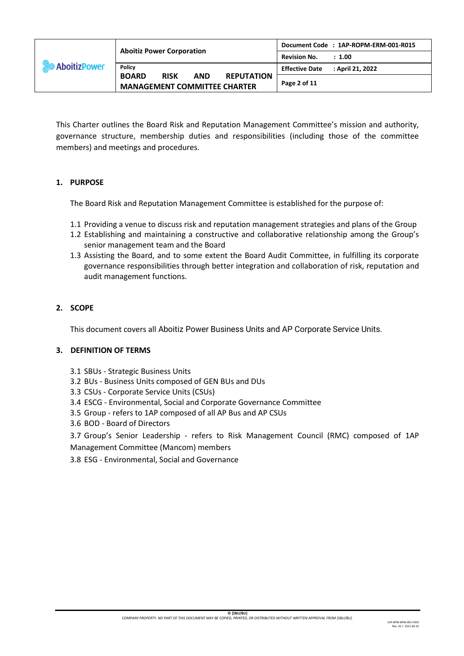| <b>SO AboitizPower</b> | <b>Aboitiz Power Corporation</b>                                                                      | Document Code : 1AP-ROPM-ERM-001-R015     |
|------------------------|-------------------------------------------------------------------------------------------------------|-------------------------------------------|
|                        |                                                                                                       | <b>Revision No.</b><br>: 1.00             |
|                        | <b>Policy</b>                                                                                         | : April 21, 2022<br><b>Effective Date</b> |
|                        | <b>BOARD</b><br><b>RISK</b><br><b>AND</b><br><b>REPUTATION</b><br><b>MANAGEMENT COMMITTEE CHARTER</b> | Page 2 of 11                              |

This Charter outlines the Board Risk and Reputation Management Committee's mission and authority, governance structure, membership duties and responsibilities (including those of the committee members) and meetings and procedures.

## **1. PURPOSE**

The Board Risk and Reputation Management Committee is established for the purpose of:

- 1.1 Providing a venue to discuss risk and reputation management strategies and plans of the Group
- 1.2 Establishing and maintaining a constructive and collaborative relationship among the Group's senior management team and the Board
- 1.3 Assisting the Board, and to some extent the Board Audit Committee, in fulfilling its corporate governance responsibilities through better integration and collaboration of risk, reputation and audit management functions.

## **2. SCOPE**

This document covers all Aboitiz Power Business Units and AP Corporate Service Units.

#### **3. DEFINITION OF TERMS**

- 3.1 SBUs Strategic Business Units
- 3.2 BUs Business Units composed of GEN BUs and DUs
- 3.3 CSUs Corporate Service Units (CSUs)
- 3.4 ESCG Environmental, Social and Corporate Governance Committee
- 3.5 Group refers to 1AP composed of all AP Bus and AP CSUs
- 3.6 BOD Board of Directors

3.7 Group's Senior Leadership - refers to Risk Management Council (RMC) composed of 1AP Management Committee (Mancom) members

3.8 ESG - Environmental, Social and Governance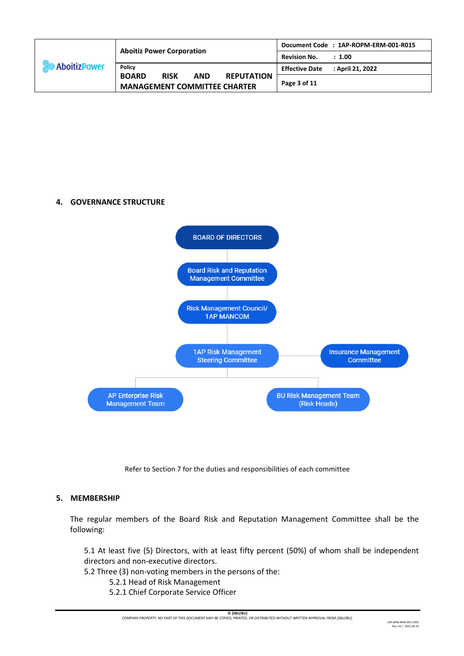| <b>So AboitizPower</b> | <b>Aboitiz Power Corporation</b>                                                                      | Document Code: 1AP-ROPM-ERM-001-R015      |
|------------------------|-------------------------------------------------------------------------------------------------------|-------------------------------------------|
|                        |                                                                                                       | <b>Revision No.</b><br>: 1.00             |
|                        | <b>Policy</b>                                                                                         | : April 21. 2022<br><b>Effective Date</b> |
|                        | <b>BOARD</b><br><b>RISK</b><br><b>AND</b><br><b>REPUTATION</b><br><b>MANAGEMENT COMMITTEE CHARTER</b> | Page 3 of 11                              |

## **4. GOVERNANCE STRUCTURE**



Refer to Section 7 for the duties and responsibilities of each committee

## **5. MEMBERSHIP**

The regular members of the Board Risk and Reputation Management Committee shall be the following:

5.1 At least five (5) Directors, with at least fifty percent (50%) of whom shall be independent directors and non-executive directors.

5.2 Three (3) non-voting members in the persons of the:

- 5.2.1 Head of Risk Management
- 5.2.1 Chief Corporate Service Officer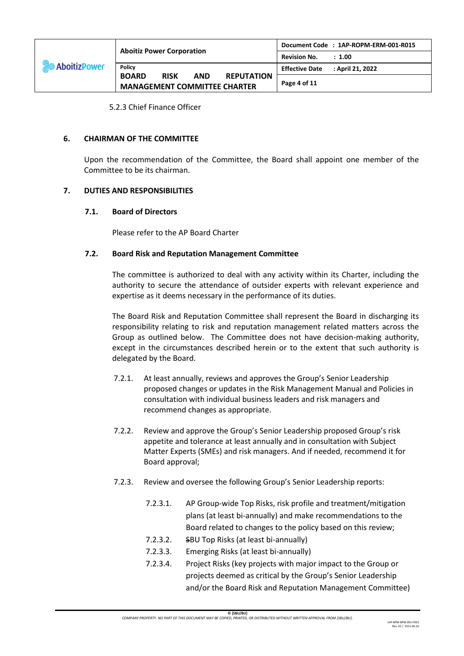| <b>So AboitizPower</b> | <b>Aboitiz Power Corporation</b>                                                                      | Document Code : 1AP-ROPM-ERM-001-R015     |
|------------------------|-------------------------------------------------------------------------------------------------------|-------------------------------------------|
|                        |                                                                                                       | <b>Revision No.</b><br>: 1.00             |
|                        | <b>Policy</b>                                                                                         | : April 21, 2022<br><b>Effective Date</b> |
|                        | <b>BOARD</b><br><b>RISK</b><br><b>AND</b><br><b>REPUTATION</b><br><b>MANAGEMENT COMMITTEE CHARTER</b> | Page 4 of 11                              |

5.2.3 Chief Finance Officer

#### **6. CHAIRMAN OF THE COMMITTEE**

Upon the recommendation of the Committee, the Board shall appoint one member of the Committee to be its chairman.

#### **7. DUTIES AND RESPONSIBILITIES**

#### **7.1. Board of Directors**

Please refer to the AP Board Charter

#### **7.2. Board Risk and Reputation Management Committee**

The committee is authorized to deal with any activity within its Charter, including the authority to secure the attendance of outsider experts with relevant experience and expertise as it deems necessary in the performance of its duties.

The Board Risk and Reputation Committee shall represent the Board in discharging its responsibility relating to risk and reputation management related matters across the Group as outlined below. The Committee does not have decision-making authority, except in the circumstances described herein or to the extent that such authority is delegated by the Board.

- 7.2.1. At least annually, reviews and approves the Group's Senior Leadership proposed changes or updates in the Risk Management Manual and Policies in consultation with individual business leaders and risk managers and recommend changes as appropriate.
- 7.2.2. Review and approve the Group's Senior Leadership proposed Group's risk appetite and tolerance at least annually and in consultation with Subject Matter Experts (SMEs) and risk managers. And if needed, recommend it for Board approval;
- 7.2.3. Review and oversee the following Group's Senior Leadership reports:
	- 7.2.3.1. AP Group-wide Top Risks, risk profile and treatment/mitigation plans (at least bi-annually) and make recommendations to the Board related to changes to the policy based on this review;
	- 7.2.3.2. SBU Top Risks (at least bi-annually)
	- 7.2.3.3. Emerging Risks (at least bi-annually)
	- 7.2.3.4. Project Risks (key projects with major impact to the Group or projects deemed as critical by the Group's Senior Leadership and/or the Board Risk and Reputation Management Committee)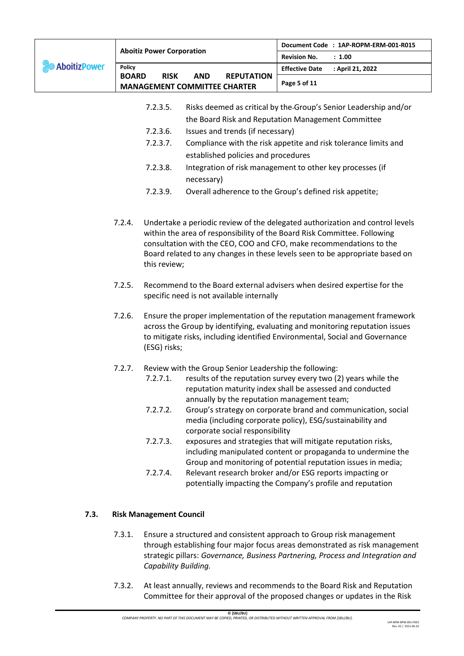|                               |                                  |                                                    |                                                        | Document Code : 1AP-ROPM-ERM-001-R015                   |                       |                                                                                                                                                                                                                                                                                                                  |
|-------------------------------|----------------------------------|----------------------------------------------------|--------------------------------------------------------|---------------------------------------------------------|-----------------------|------------------------------------------------------------------------------------------------------------------------------------------------------------------------------------------------------------------------------------------------------------------------------------------------------------------|
|                               | <b>Aboitiz Power Corporation</b> |                                                    | <b>Revision No.</b><br>: 1.00                          |                                                         |                       |                                                                                                                                                                                                                                                                                                                  |
| <b>AboitizPower</b><br>Policy |                                  |                                                    |                                                        |                                                         | <b>Effective Date</b> | : April 21, 2022                                                                                                                                                                                                                                                                                                 |
|                               | <b>BOARD</b>                     | <b>RISK</b><br><b>MANAGEMENT COMMITTEE CHARTER</b> | <b>AND</b>                                             | <b>REPUTATION</b>                                       | Page 5 of 11          |                                                                                                                                                                                                                                                                                                                  |
|                               |                                  | 7.2.3.5.                                           |                                                        |                                                         |                       | Risks deemed as critical by the Group's Senior Leadership and/or                                                                                                                                                                                                                                                 |
|                               |                                  |                                                    |                                                        | the Board Risk and Reputation Management Committee      |                       |                                                                                                                                                                                                                                                                                                                  |
|                               |                                  | 7.2.3.6.                                           |                                                        | Issues and trends (if necessary)                        |                       |                                                                                                                                                                                                                                                                                                                  |
|                               |                                  | 7.2.3.7.                                           |                                                        |                                                         |                       | Compliance with the risk appetite and risk tolerance limits and                                                                                                                                                                                                                                                  |
|                               |                                  |                                                    |                                                        | established policies and procedures                     |                       |                                                                                                                                                                                                                                                                                                                  |
|                               |                                  | 7.2.3.8.                                           |                                                        |                                                         |                       | Integration of risk management to other key processes (if                                                                                                                                                                                                                                                        |
|                               |                                  | 7.2.3.9.                                           | necessary)                                             | Overall adherence to the Group's defined risk appetite; |                       |                                                                                                                                                                                                                                                                                                                  |
|                               |                                  |                                                    |                                                        |                                                         |                       |                                                                                                                                                                                                                                                                                                                  |
|                               | 7.2.4.                           | this review;                                       |                                                        |                                                         |                       | Undertake a periodic review of the delegated authorization and control levels<br>within the area of responsibility of the Board Risk Committee. Following<br>consultation with the CEO, COO and CFO, make recommendations to the<br>Board related to any changes in these levels seen to be appropriate based on |
|                               | 7.2.5.                           |                                                    |                                                        | specific need is not available internally               |                       | Recommend to the Board external advisers when desired expertise for the                                                                                                                                                                                                                                          |
|                               | 7.2.6.                           | (ESG) risks;                                       |                                                        |                                                         |                       | Ensure the proper implementation of the reputation management framework<br>across the Group by identifying, evaluating and monitoring reputation issues<br>to mitigate risks, including identified Environmental, Social and Governance                                                                          |
|                               | 7.2.7.                           |                                                    | Review with the Group Senior Leadership the following: |                                                         |                       |                                                                                                                                                                                                                                                                                                                  |
|                               |                                  | 7.2.7.1.                                           |                                                        | annually by the reputation management team;             |                       | results of the reputation survey every two (2) years while the<br>reputation maturity index shall be assessed and conducted                                                                                                                                                                                      |
|                               |                                  | 7.2.7.2.                                           |                                                        |                                                         |                       | Group's strategy on corporate brand and communication, social<br>media (including corporate policy), ESG/sustainability and                                                                                                                                                                                      |
|                               |                                  | 7.2.7.3.                                           |                                                        | corporate social responsibility                         |                       | exposures and strategies that will mitigate reputation risks,<br>including manipulated content or propaganda to undermine the<br>Group and monitoring of potential reputation issues in media;                                                                                                                   |
|                               |                                  | 7.2.7.4.                                           |                                                        |                                                         |                       | Relevant research broker and/or ESG reports impacting or<br>potentially impacting the Company's profile and reputation                                                                                                                                                                                           |
| 7.3.                          |                                  | <b>Risk Management Council</b>                     |                                                        |                                                         |                       |                                                                                                                                                                                                                                                                                                                  |
|                               | 7.3.1.                           | Capability Building.                               |                                                        |                                                         |                       | Ensure a structured and consistent approach to Group risk management<br>through establishing four major focus areas demonstrated as risk management<br>strategic pillars: Governance, Business Partnering, Process and Integration and                                                                           |
|                               | 7.3.2.                           |                                                    |                                                        |                                                         |                       | At least annually, reviews and recommends to the Board Risk and Reputation<br>Committee for their approval of the proposed changes or updates in the Risk                                                                                                                                                        |

**<sup>© [</sup>SBU/BU]** *COMPANY PROPERTY. NO PART OF THIS DOCUMENT MAY BE COPIED, PRINTED, OR DISTRIBUTED WITHOUT WRITTEN APPROVAL FROM [SBU/BU].*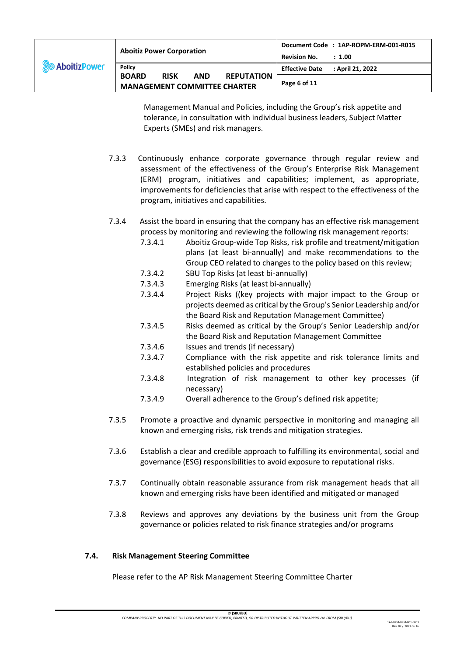| <b>So AboitizPower</b> |                                                                                                                        | Document Code : 1AP-ROPM-ERM-001-R015     |
|------------------------|------------------------------------------------------------------------------------------------------------------------|-------------------------------------------|
|                        | <b>Aboitiz Power Corporation</b>                                                                                       | <b>Revision No.</b><br>: 1.00             |
|                        | <b>Policy</b><br><b>BOARD</b><br><b>REPUTATION</b><br><b>RISK</b><br><b>AND</b><br><b>MANAGEMENT COMMITTEE CHARTER</b> | : April 21, 2022<br><b>Effective Date</b> |
|                        |                                                                                                                        | Page 6 of 11                              |

Management Manual and Policies, including the Group's risk appetite and tolerance, in consultation with individual business leaders, Subject Matter Experts (SMEs) and risk managers.

7.3.3 Continuously enhance corporate governance through regular review and assessment of the effectiveness of the Group's Enterprise Risk Management (ERM) program, initiatives and capabilities; implement, as appropriate, improvements for deficiencies that arise with respect to the effectiveness of the program, initiatives and capabilities.

## 7.3.4 Assist the board in ensuring that the company has an effective risk management process by monitoring and reviewing the following risk management reports:

- 7.3.4.1 Aboitiz Group-wide Top Risks, risk profile and treatment/mitigation plans (at least bi-annually) and make recommendations to the Group CEO related to changes to the policy based on this review;
- 7.3.4.2 SBU Top Risks (at least bi-annually)
- 7.3.4.3 Emerging Risks (at least bi-annually)
- 7.3.4.4 Project Risks ((key projects with major impact to the Group or projects deemed as critical by the Group's Senior Leadership and/or the Board Risk and Reputation Management Committee)
- 7.3.4.5 Risks deemed as critical by the Group's Senior Leadership and/or the Board Risk and Reputation Management Committee
- 7.3.4.6 Issues and trends (if necessary)
- 7.3.4.7 Compliance with the risk appetite and risk tolerance limits and established policies and procedures
- 7.3.4.8 Integration of risk management to other key processes (if necessary)
- 7.3.4.9 Overall adherence to the Group's defined risk appetite;
- 7.3.5 Promote a proactive and dynamic perspective in monitoring and-managing all known and emerging risks, risk trends and mitigation strategies.
- 7.3.6 Establish a clear and credible approach to fulfilling its environmental, social and governance (ESG) responsibilities to avoid exposure to reputational risks.
- 7.3.7 Continually obtain reasonable assurance from risk management heads that all known and emerging risks have been identified and mitigated or managed
- 7.3.8 Reviews and approves any deviations by the business unit from the Group governance or policies related to risk finance strategies and/or programs

## **7.4. Risk Management Steering Committee**

Please refer to the AP Risk Management Steering Committee Charter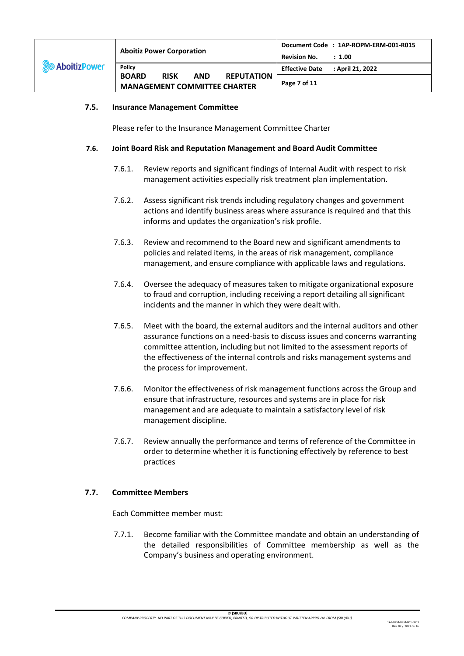| <b>SO</b> Aboitiz Power | <b>Aboitiz Power Corporation</b>                                                                      | Document Code : 1AP-ROPM-ERM-001-R015     |
|-------------------------|-------------------------------------------------------------------------------------------------------|-------------------------------------------|
|                         |                                                                                                       | <b>Revision No.</b><br>: 1.00             |
|                         | <b>Policy</b>                                                                                         | : April 21, 2022<br><b>Effective Date</b> |
|                         | <b>BOARD</b><br><b>RISK</b><br><b>AND</b><br><b>REPUTATION</b><br><b>MANAGEMENT COMMITTEE CHARTER</b> | Page 7 of 11                              |

#### **7.5. Insurance Management Committee**

Please refer to the Insurance Management Committee Charter

#### **7.6. Joint Board Risk and Reputation Management and Board Audit Committee**

- 7.6.1. Review reports and significant findings of Internal Audit with respect to risk management activities especially risk treatment plan implementation.
- 7.6.2. Assess significant risk trends including regulatory changes and government actions and identify business areas where assurance is required and that this informs and updates the organization's risk profile.
- 7.6.3. Review and recommend to the Board new and significant amendments to policies and related items, in the areas of risk management, compliance management, and ensure compliance with applicable laws and regulations.
- 7.6.4. Oversee the adequacy of measures taken to mitigate organizational exposure to fraud and corruption, including receiving a report detailing all significant incidents and the manner in which they were dealt with.
- 7.6.5. Meet with the board, the external auditors and the internal auditors and other assurance functions on a need-basis to discuss issues and concerns warranting committee attention, including but not limited to the assessment reports of the effectiveness of the internal controls and risks management systems and the process for improvement.
- 7.6.6. Monitor the effectiveness of risk management functions across the Group and ensure that infrastructure, resources and systems are in place for risk management and are adequate to maintain a satisfactory level of risk management discipline.
- 7.6.7. Review annually the performance and terms of reference of the Committee in order to determine whether it is functioning effectively by reference to best practices

## **7.7. Committee Members**

Each Committee member must:

7.7.1. Become familiar with the Committee mandate and obtain an understanding of the detailed responsibilities of Committee membership as well as the Company's business and operating environment.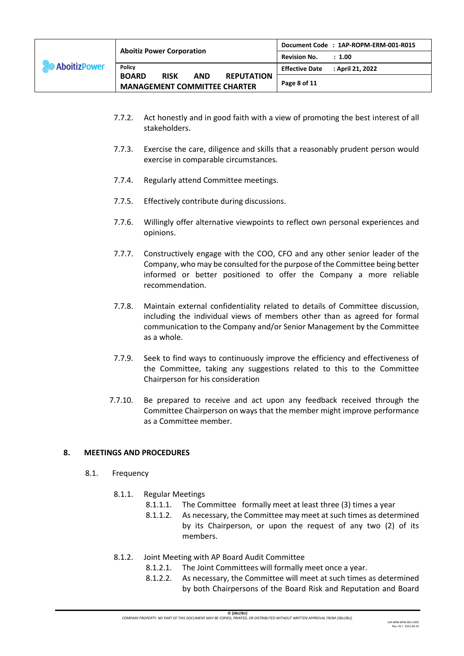|                        | <b>Aboitiz Power Corporation</b>                                                                      | Document Code : 1AP-ROPM-ERM-001-R015 |
|------------------------|-------------------------------------------------------------------------------------------------------|---------------------------------------|
| <b>SO AboitizPower</b> |                                                                                                       | <b>Revision No.</b><br>: 1.00         |
|                        | <b>Policy</b>                                                                                         | Effective Date : April 21, 2022       |
|                        | <b>BOARD</b><br><b>RISK</b><br><b>AND</b><br><b>REPUTATION</b><br><b>MANAGEMENT COMMITTEE CHARTER</b> | Page 8 of 11                          |

- 7.7.2. Act honestly and in good faith with a view of promoting the best interest of all stakeholders.
- 7.7.3. Exercise the care, diligence and skills that a reasonably prudent person would exercise in comparable circumstances.
- 7.7.4. Regularly attend Committee meetings.
- 7.7.5. Effectively contribute during discussions.
- 7.7.6. Willingly offer alternative viewpoints to reflect own personal experiences and opinions.
- 7.7.7. Constructively engage with the COO, CFO and any other senior leader of the Company, who may be consulted for the purpose of the Committee being better informed or better positioned to offer the Company a more reliable recommendation.
- 7.7.8. Maintain external confidentiality related to details of Committee discussion, including the individual views of members other than as agreed for formal communication to the Company and/or Senior Management by the Committee as a whole.
- 7.7.9. Seek to find ways to continuously improve the efficiency and effectiveness of the Committee, taking any suggestions related to this to the Committee Chairperson for his consideration
- 7.7.10. Be prepared to receive and act upon any feedback received through the Committee Chairperson on ways that the member might improve performance as a Committee member.

## **8. MEETINGS AND PROCEDURES**

- 8.1. Frequency
	- 8.1.1. Regular Meetings
		- 8.1.1.1. The Committee formally meet at least three (3) times a year
		- 8.1.1.2. As necessary, the Committee may meet at such times as determined by its Chairperson, or upon the request of any two (2) of its members.
	- 8.1.2. Joint Meeting with AP Board Audit Committee
		- 8.1.2.1. The Joint Committees will formally meet once a year.
		- 8.1.2.2. As necessary, the Committee will meet at such times as determined by both Chairpersons of the Board Risk and Reputation and Board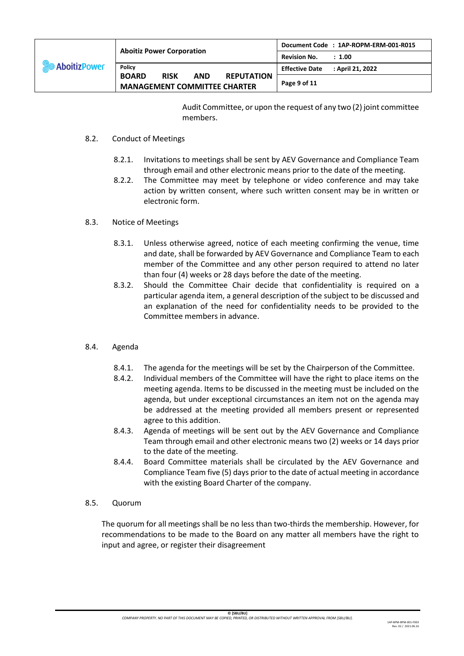| <b>SO</b> Aboitiz Power | <b>Aboitiz Power Corporation</b>                                                                      | Document Code : 1AP-ROPM-ERM-001-R015     |
|-------------------------|-------------------------------------------------------------------------------------------------------|-------------------------------------------|
|                         |                                                                                                       | <b>Revision No.</b><br>: 1.00             |
|                         | <b>Policy</b>                                                                                         | : April 21, 2022<br><b>Effective Date</b> |
|                         | <b>BOARD</b><br><b>RISK</b><br><b>AND</b><br><b>REPUTATION</b><br><b>MANAGEMENT COMMITTEE CHARTER</b> | Page 9 of 11                              |

Audit Committee, or upon the request of any two (2) joint committee members.

#### 8.2. Conduct of Meetings

- 8.2.1. Invitations to meetings shall be sent by AEV Governance and Compliance Team through email and other electronic means prior to the date of the meeting.
- 8.2.2. The Committee may meet by telephone or video conference and may take action by written consent, where such written consent may be in written or electronic form.

#### 8.3. Notice of Meetings

- 8.3.1. Unless otherwise agreed, notice of each meeting confirming the venue, time and date, shall be forwarded by AEV Governance and Compliance Team to each member of the Committee and any other person required to attend no later than four (4) weeks or 28 days before the date of the meeting.
- 8.3.2. Should the Committee Chair decide that confidentiality is required on a particular agenda item, a general description of the subject to be discussed and an explanation of the need for confidentiality needs to be provided to the Committee members in advance.

## 8.4. Agenda

- 8.4.1. The agenda for the meetings will be set by the Chairperson of the Committee.
- 8.4.2. Individual members of the Committee will have the right to place items on the meeting agenda. Items to be discussed in the meeting must be included on the agenda, but under exceptional circumstances an item not on the agenda may be addressed at the meeting provided all members present or represented agree to this addition.
- 8.4.3. Agenda of meetings will be sent out by the AEV Governance and Compliance Team through email and other electronic means two (2) weeks or 14 days prior to the date of the meeting.
- 8.4.4. Board Committee materials shall be circulated by the AEV Governance and Compliance Team five (5) days prior to the date of actual meeting in accordance with the existing Board Charter of the company.

#### 8.5. Quorum

The quorum for all meetings shall be no less than two-thirds the membership. However, for recommendations to be made to the Board on any matter all members have the right to input and agree, or register their disagreement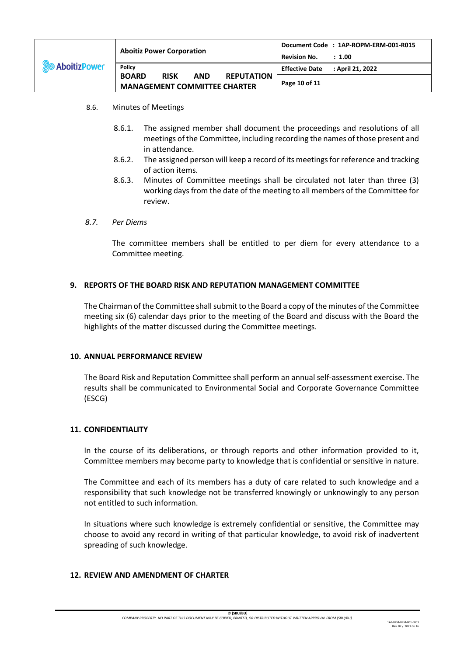| <b>So AboitizPower</b> | <b>Aboitiz Power Corporation</b>                                                                      | Document Code : 1AP-ROPM-ERM-001-R015     |
|------------------------|-------------------------------------------------------------------------------------------------------|-------------------------------------------|
|                        |                                                                                                       | <b>Revision No.</b><br>: 1.00             |
|                        | <b>Policy</b>                                                                                         | : April 21, 2022<br><b>Effective Date</b> |
|                        | <b>BOARD</b><br><b>RISK</b><br><b>REPUTATION</b><br><b>AND</b><br><b>MANAGEMENT COMMITTEE CHARTER</b> | Page 10 of 11                             |

- 8.6. Minutes of Meetings
	- 8.6.1. The assigned member shall document the proceedings and resolutions of all meetings of the Committee, including recording the names of those present and in attendance.
	- 8.6.2. The assigned person will keep a record of its meetings for reference and tracking of action items.
	- 8.6.3. Minutes of Committee meetings shall be circulated not later than three (3) working days from the date of the meeting to all members of the Committee for review.

#### *8.7. Per Diems*

The committee members shall be entitled to per diem for every attendance to a Committee meeting.

## **9. REPORTS OF THE BOARD RISK AND REPUTATION MANAGEMENT COMMITTEE**

The Chairman of the Committee shall submit to the Board a copy of the minutes of the Committee meeting six (6) calendar days prior to the meeting of the Board and discuss with the Board the highlights of the matter discussed during the Committee meetings.

#### **10. ANNUAL PERFORMANCE REVIEW**

The Board Risk and Reputation Committee shall perform an annual self-assessment exercise. The results shall be communicated to Environmental Social and Corporate Governance Committee (ESCG)

#### **11. CONFIDENTIALITY**

In the course of its deliberations, or through reports and other information provided to it, Committee members may become party to knowledge that is confidential or sensitive in nature.

The Committee and each of its members has a duty of care related to such knowledge and a responsibility that such knowledge not be transferred knowingly or unknowingly to any person not entitled to such information.

In situations where such knowledge is extremely confidential or sensitive, the Committee may choose to avoid any record in writing of that particular knowledge, to avoid risk of inadvertent spreading of such knowledge.

#### **12. REVIEW AND AMENDMENT OF CHARTER**